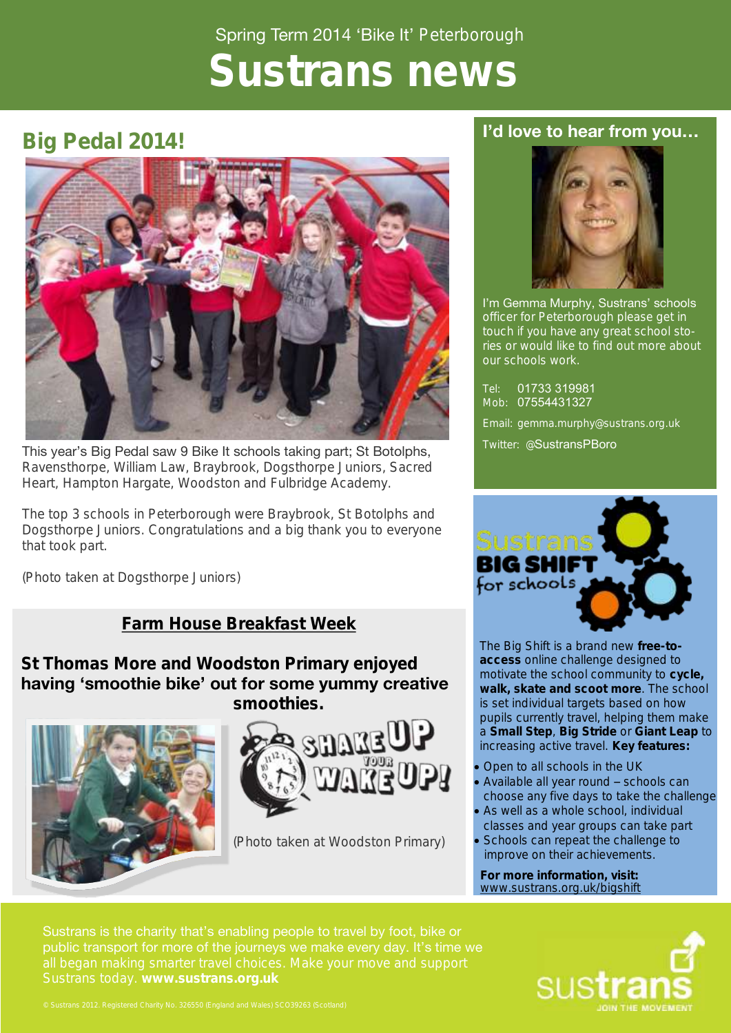# Spring Term 2014 'Bike It' Peterborough **Sustrans news**

## **Big Pedal 2014!**



This year's Big Pedal saw 9 Bike It schools taking part; St Botolphs, Ravensthorpe, William Law, Braybrook, Dogsthorpe Juniors, Sacred Heart, Hampton Hargate, Woodston and Fulbridge Academy.

The top 3 schools in Peterborough were Braybrook, St Botolphs and Dogsthorpe Juniors. Congratulations and a big thank you to everyone that took part.

(Photo taken at Dogsthorpe Juniors)

## **Farm House Breakfast Week**

**St Thomas More and Woodston Primary enjoyed having 'smoothie bike' out for some yummy creative smoothies.** 





(Photo taken at Woodston Primary)

## **I'd love to hear from you…**



I'm Gemma Murphy, Sustrans' schools officer for Peterborough please get in touch if you have any great school stories or would like to find out more about our schools work.

Tel: 01733 319981 Mob: 07554431327

Email: gemma.murphy@sustrans.org.uk

Twitter: @SustransPBoro



The Big Shift is a brand new **free-toaccess** online challenge designed to motivate the school community to **cycle, walk, skate and scoot more**. The school is set individual targets based on how pupils currently travel, helping them make a **Small Step**, **Big Stride** or **Giant Leap** to increasing active travel. **Key features:**

- Open to all schools in the UK
- Available all year round schools can choose any five days to take the challenge
- As well as a whole school, individual classes and year groups can take part
- Schools can repeat the challenge to improve on their achievements.

**For more information, visit:**  [www.sustrans.org.uk/bigshift](http://www.sustrans.org.uk/bigshift)

Sustrans is the charity that's enabling people to travel by foot, bike or public transport for more of the journeys we make every day. It's time we

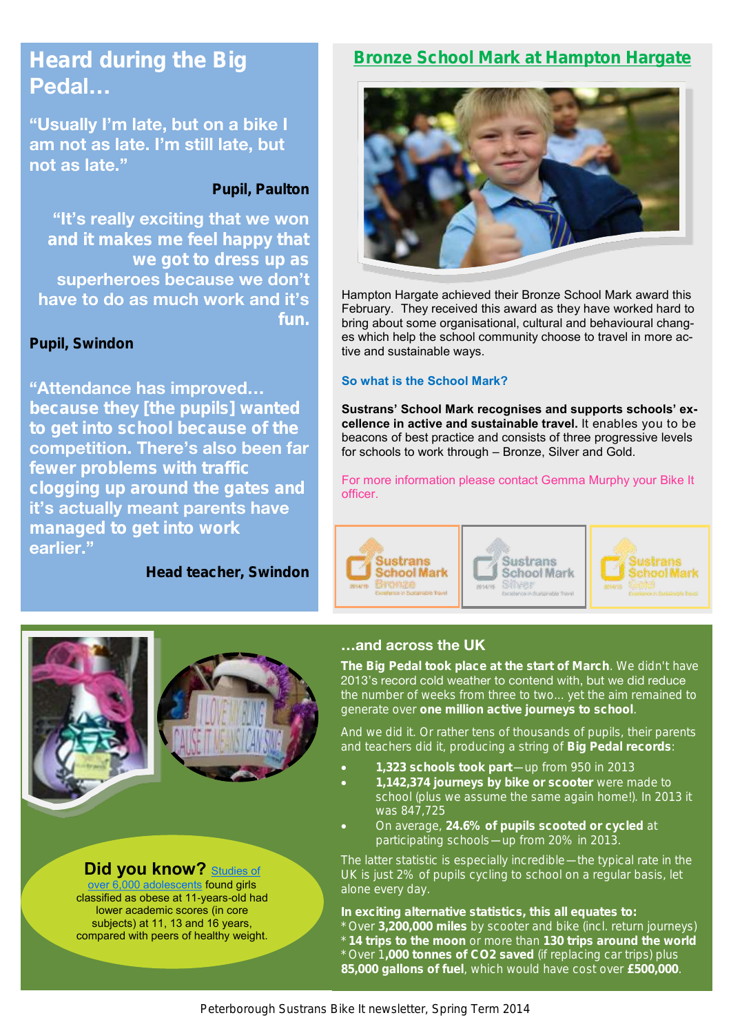## **Heard during the Big Pedal…**

**"Usually I'm late, but on a bike I am not as late. I'm still late, but not as late."** 

**Pupil, Paulton**

**"It's really exciting that we won and it makes me feel happy that superheroes because we don't have to do as much work and it's fun.**

**Pupil, Swindon**

**"Attendance has improved… because they [the pupils] wanted to get into school because of the competition. There's also been far clogging up around the gates and it's actually meant parents have managed to get into work earlier."**

**Head teacher, Swindon**

## **Bronze School Mark at Hampton Hargate**



Hampton Hargate achieved their Bronze School Mark award this February. They received this award as they have worked hard to bring about some organisational, cultural and behavioural changes which help the school community choose to travel in more active and sustainable ways.

#### **So what is the School Mark?**

**Sustrans' School Mark recognises and supports schools' excellence in active and sustainable travel.** It enables you to be beacons of best practice and consists of three progressive levels for schools to work through – Bronze, Silver and Gold.

For more information please contact Gemma Murphy your Bike It officer.







**Did you know?** Studies of

[over 6,000 adolescents](http://www.nature.com/ijo/journal/vaop/naam/pdf/ijo201440a.pdf) found girls classified as obese at 11-years-old had lower academic scores (in core subjects) at 11, 13 and 16 years, compared with peers of healthy weight.

#### **…and across the UK**

**The Big Pedal took place at the start of March**. We didn't have 2013's record cold weather to contend with, but we did reduce the number of weeks from three to two... yet the aim remained to generate over **one million active journeys to school**.

And we did it. Or rather tens of thousands of pupils, their parents and teachers did it, producing a string of **Big Pedal records**:

- **1,323 schools took part**—up from 950 in 2013
- **1,142,374 journeys by bike or scooter** were made to school (plus we assume the same again home!). In 2013 it was 847,725
- On average, **24.6% of pupils scooted or cycled** at participating schools—up from 20% in 2013.

The latter statistic is especially incredible—the typical rate in the UK is just 2% of pupils cycling to school on a regular basis, let alone every day.

**In exciting alternative statistics, this all equates to:** \* Over **3,200,000 miles** by scooter and bike (incl. return journeys) \* **14 trips to the moon** or more than **130 trips around the world**  \* Over 1**,000 tonnes of CO2 saved** (if replacing car trips) plus **85,000 gallons of fuel**, which would have cost over **£500,000**.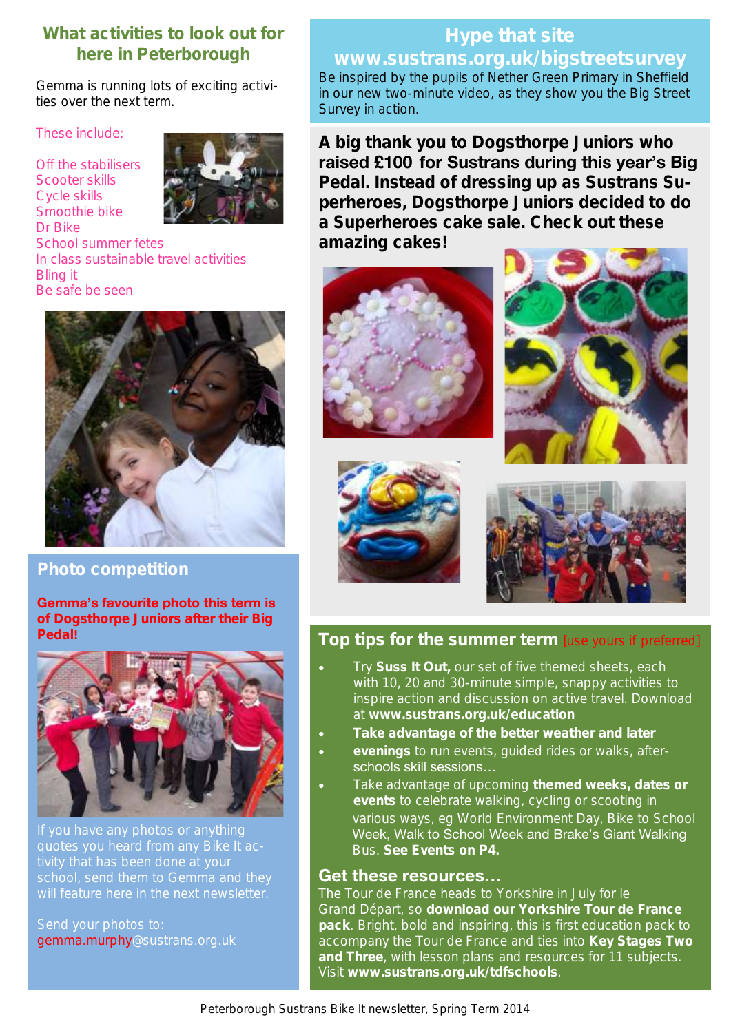### **What activities to look out for here in Peterborough**

Gemma is running lots of exciting activities over the next term.

These include:

Off the stabilisers Scooter skills Cycle skills Smoothie bike Dr Bike School summer fetes In class sustainable travel activities Bling it Be safe be seen



#### **Photo competition**

**Gemma's favourite photo this term is of Dogsthorpe Juniors after their Big Pedal!**



Send your photos to: gemma.murphy@sustrans.org.uk

# Be inspired by the pupils of Nether Green Primary in Sheffield in our new two-minute video, as they show you the Big Street

**A big thank you to Dogsthorpe Juniors who raised £100 for Sustrans during this year's Big Pedal. Instead of dressing up as Sustrans Superheroes, Dogsthorpe Juniors decided to do a Superheroes cake sale. Check out these amazing cakes!**



Survey in action.







## **Top tips for the summer term** [use yours if preferred]

- Try **Suss It Out,** our set of five themed sheets, each with 10, 20 and 30-minute simple, snappy activities to inspire action and discussion on active travel. Download at **www.sustrans.org.uk/education**
- **Take advantage of the better weather and later**
- **evenings** to run events, guided rides or walks, afterschools skill sessions…
- Take advantage of upcoming **themed weeks, dates or events** to celebrate walking, cycling or scooting in various ways, eg World Environment Day, Bike to School Week, Walk to School Week and Brake's Giant Walking Bus. **See Events on P4.**

#### **Get these resources…**

The Tour de France heads to Yorkshire in July for le Grand Départ, so **download our Yorkshire Tour de France pack**. Bright, bold and inspiring, this is first education pack to accompany the Tour de France and ties into **Key Stages Two and Three**, with lesson plans and resources for 11 subjects. Visit **[www.sustrans.org.uk/tdfschools](http://www.sustrans.org.uk/biketoschoolweek)**.